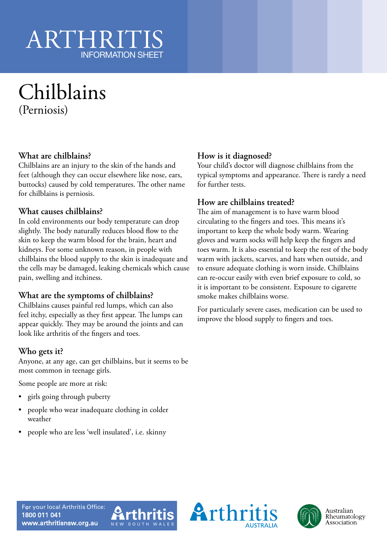# ARTHRIT INFORMATION SHEET

# Chilblains (Perniosis)

#### **What are chilblains?**

Chilblains are an injury to the skin of the hands and feet (although they can occur elsewhere like nose, ears, buttocks) caused by cold temperatures. The other name for chilblains is perniosis.

#### **What causes chilblains?**

In cold environments our body temperature can drop slightly. The body naturally reduces blood flow to the skin to keep the warm blood for the brain, heart and kidneys. For some unknown reason, in people with chilblains the blood supply to the skin is inadequate and the cells may be damaged, leaking chemicals which cause pain, swelling and itchiness.

#### **What are the symptoms of chilblains?**

Chilblains causes painful red lumps, which can also feel itchy, especially as they first appear. The lumps can appear quickly. They may be around the joints and can look like arthritis of the fingers and toes.

### **Who gets it?**

Anyone, at any age, can get chilblains, but it seems to be most common in teenage girls.

Some people are more at risk:

- girls going through puberty
- people who wear inadequate clothing in colder weather
- people who are less 'well insulated', i.e. skinny

## **How is it diagnosed?**

Your child's doctor will diagnose chilblains from the typical symptoms and appearance. There is rarely a need for further tests.

#### **How are chilblains treated?**

The aim of management is to have warm blood circulating to the fingers and toes. This means it's important to keep the whole body warm. Wearing gloves and warm socks will help keep the fingers and toes warm. It is also essential to keep the rest of the body warm with jackets, scarves, and hats when outside, and to ensure adequate clothing is worn inside. Chilblains can re-occur easily with even brief exposure to cold, so it is important to be consistent. Exposure to cigarette smoke makes chilblains worse.

For particularly severe cases, medication can be used to improve the blood supply to fingers and toes.